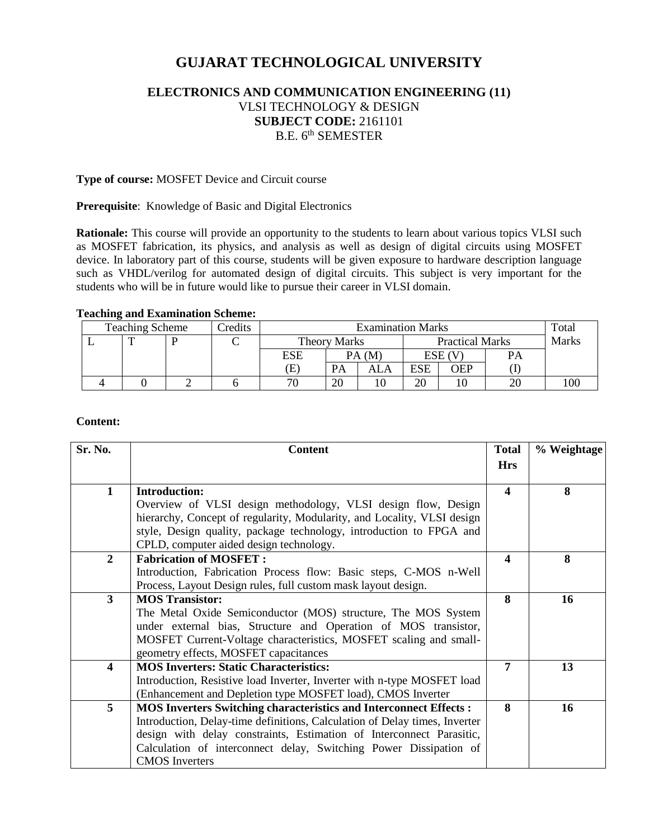# **GUJARAT TECHNOLOGICAL UNIVERSITY**

# **ELECTRONICS AND COMMUNICATION ENGINEERING (11)** VLSI TECHNOLOGY & DESIGN **SUBJECT CODE:** 2161101 B.E. 6<sup>th</sup> SEMESTER

#### **Type of course:** MOSFET Device and Circuit course

#### **Prerequisite**: Knowledge of Basic and Digital Electronics

**Rationale:** This course will provide an opportunity to the students to learn about various topics VLSI such as MOSFET fabrication, its physics, and analysis as well as design of digital circuits using MOSFET device. In laboratory part of this course, students will be given exposure to hardware description language such as VHDL/verilog for automated design of digital circuits. This subject is very important for the students who will be in future would like to pursue their career in VLSI domain.

#### **Teaching and Examination Scheme:**

| <b>Teaching Scheme</b> |  |  | <b>Predits</b> | <b>Examination Marks</b> |       |                        |        | Total |       |     |
|------------------------|--|--|----------------|--------------------------|-------|------------------------|--------|-------|-------|-----|
|                        |  |  |                | <b>Theory Marks</b>      |       | <b>Practical Marks</b> |        |       | Marks |     |
|                        |  |  |                | ESE                      | PA(M) |                        | ESE (V |       | PА    |     |
|                        |  |  |                | Œ                        | PA    | ALA                    | ESE    | OEP   |       |     |
|                        |  |  |                | 70                       | 20    |                        | 20     | ١U    |       | 100 |

#### **Content:**

| Sr. No.                 | <b>Content</b>                                                             |                  | % Weightage |
|-------------------------|----------------------------------------------------------------------------|------------------|-------------|
|                         |                                                                            | <b>Hrs</b>       |             |
| $\mathbf{1}$            | <b>Introduction:</b>                                                       | $\blacktriangle$ | 8           |
|                         | Overview of VLSI design methodology, VLSI design flow, Design              |                  |             |
|                         | hierarchy, Concept of regularity, Modularity, and Locality, VLSI design    |                  |             |
|                         | style, Design quality, package technology, introduction to FPGA and        |                  |             |
|                         | CPLD, computer aided design technology.                                    |                  |             |
| $\overline{2}$          | <b>Fabrication of MOSFET:</b>                                              | $\boldsymbol{4}$ | 8           |
|                         | Introduction, Fabrication Process flow: Basic steps, C-MOS n-Well          |                  |             |
|                         | Process, Layout Design rules, full custom mask layout design.              |                  |             |
| $\mathbf{3}$            | <b>MOS Transistor:</b>                                                     | 8                | 16          |
|                         | The Metal Oxide Semiconductor (MOS) structure, The MOS System              |                  |             |
|                         | under external bias, Structure and Operation of MOS transistor,            |                  |             |
|                         | MOSFET Current-Voltage characteristics, MOSFET scaling and small-          |                  |             |
|                         | geometry effects, MOSFET capacitances                                      |                  |             |
| $\overline{\mathbf{4}}$ | <b>MOS Inverters: Static Characteristics:</b>                              | 7                | 13          |
|                         | Introduction, Resistive load Inverter, Inverter with n-type MOSFET load    |                  |             |
|                         | (Enhancement and Depletion type MOSFET load), CMOS Inverter                |                  |             |
| 5                       | <b>MOS Inverters Switching characteristics and Interconnect Effects :</b>  | 8                | 16          |
|                         | Introduction, Delay-time definitions, Calculation of Delay times, Inverter |                  |             |
|                         | design with delay constraints, Estimation of Interconnect Parasitic,       |                  |             |
|                         | Calculation of interconnect delay, Switching Power Dissipation of          |                  |             |
|                         | <b>CMOS</b> Inverters                                                      |                  |             |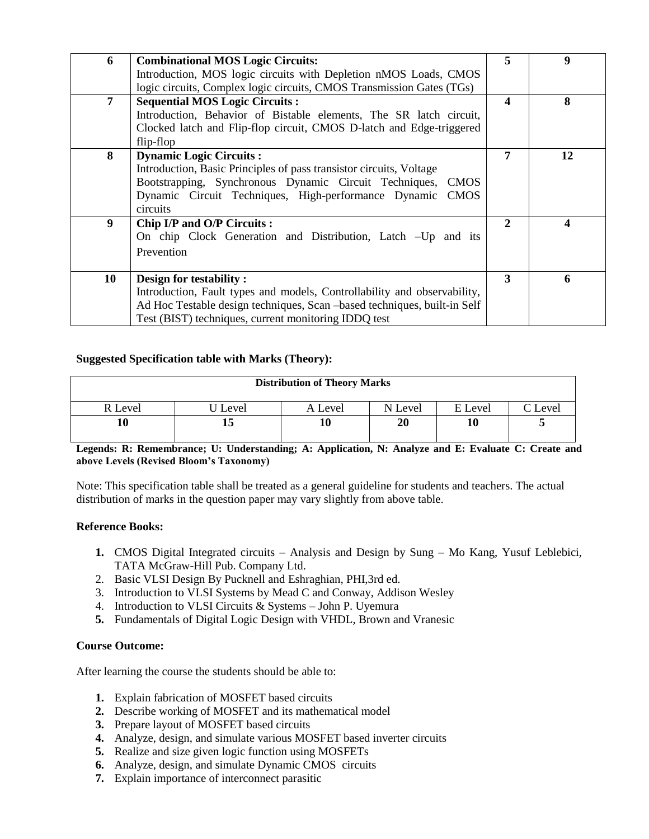| 6              | <b>Combinational MOS Logic Circuits:</b>                                 | 5 | 9  |
|----------------|--------------------------------------------------------------------------|---|----|
|                | Introduction, MOS logic circuits with Depletion nMOS Loads, CMOS         |   |    |
|                | logic circuits, Complex logic circuits, CMOS Transmission Gates (TGs)    |   |    |
| $\overline{7}$ | <b>Sequential MOS Logic Circuits:</b>                                    | 4 | 8  |
|                | Introduction, Behavior of Bistable elements, The SR latch circuit,       |   |    |
|                | Clocked latch and Flip-flop circuit, CMOS D-latch and Edge-triggered     |   |    |
|                | flip-flop                                                                |   |    |
| 8              | <b>Dynamic Logic Circuits:</b>                                           | 7 | 12 |
|                | Introduction, Basic Principles of pass transistor circuits, Voltage      |   |    |
|                | Bootstrapping, Synchronous Dynamic Circuit Techniques,<br><b>CMOS</b>    |   |    |
|                | Dynamic Circuit Techniques, High-performance Dynamic CMOS                |   |    |
|                | circuits                                                                 |   |    |
| 9              | Chip I/P and O/P Circuits :                                              | 2 | 4  |
|                | On chip Clock Generation and Distribution, Latch -Up and its             |   |    |
|                | Prevention                                                               |   |    |
|                |                                                                          |   |    |
| 10             | Design for testability:                                                  | 3 | 6  |
|                | Introduction, Fault types and models, Controllability and observability, |   |    |
|                | Ad Hoc Testable design techniques, Scan -based techniques, built-in Self |   |    |
|                | Test (BIST) techniques, current monitoring IDDQ test                     |   |    |

### **Suggested Specification table with Marks (Theory):**

| <b>Distribution of Theory Marks</b> |       |         |         |         |         |  |  |
|-------------------------------------|-------|---------|---------|---------|---------|--|--|
| R Level                             | Level | A Level | N Level | E Level | C Level |  |  |
|                                     | ⊥ၪ    | 10      | 20      | 10      | ັ       |  |  |

**Legends: R: Remembrance; U: Understanding; A: Application, N: Analyze and E: Evaluate C: Create and above Levels (Revised Bloom's Taxonomy)**

Note: This specification table shall be treated as a general guideline for students and teachers. The actual distribution of marks in the question paper may vary slightly from above table.

### **Reference Books:**

- **1.** CMOS Digital Integrated circuits Analysis and Design by Sung Mo Kang, Yusuf Leblebici, TATA McGraw-Hill Pub. Company Ltd.
- 2. Basic VLSI Design By Pucknell and Eshraghian, PHI,3rd ed.
- 3. Introduction to VLSI Systems by Mead C and Conway, Addison Wesley
- 4. Introduction to VLSI Circuits & Systems John P. Uyemura
- **5.** Fundamentals of Digital Logic Design with VHDL, Brown and Vranesic

### **Course Outcome:**

After learning the course the students should be able to:

- **1.** Explain fabrication of MOSFET based circuits
- **2.** Describe working of MOSFET and its mathematical model
- **3.** Prepare layout of MOSFET based circuits
- **4.** Analyze, design, and simulate various MOSFET based inverter circuits
- **5.** Realize and size given logic function using MOSFETs
- **6.** Analyze, design, and simulate Dynamic CMOS circuits
- **7.** Explain importance of interconnect parasitic